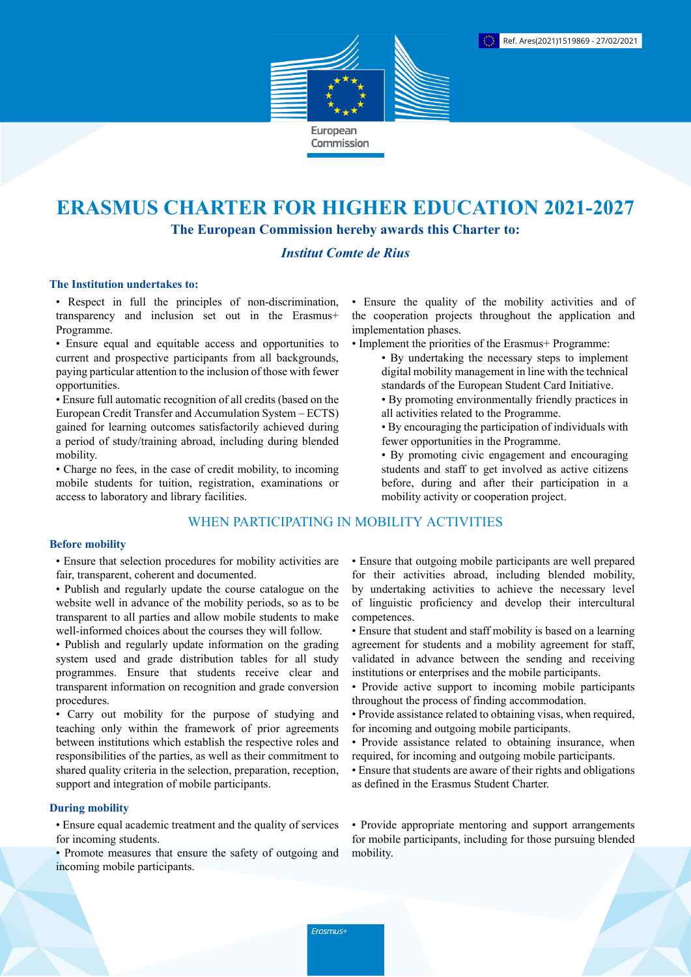

# **ERASMUS CHARTER FOR HIGHER EDUCATION 2021-2027**

**The European Commission hereby awards this Charter to:**

# *Institut Comte de Rius*

#### **The Institution undertakes to:**

• Respect in full the principles of non-discrimination, transparency and inclusion set out in the Erasmus+ Programme.

• Ensure equal and equitable access and opportunities to current and prospective participants from all backgrounds, paying particular attention to the inclusion of those with fewer opportunities.

• Ensure full automatic recognition of all credits (based on the European Credit Transfer and Accumulation System – ECTS) gained for learning outcomes satisfactorily achieved during a period of study/training abroad, including during blended mobility.

• Charge no fees, in the case of credit mobility, to incoming mobile students for tuition, registration, examinations or access to laboratory and library facilities.

## WHEN PARTICIPATING IN MOBILITY ACTIVITIES

#### **Before mobility**

• Ensure that selection procedures for mobility activities are fair, transparent, coherent and documented.

- Publish and regularly update the course catalogue on the website well in advance of the mobility periods, so as to be transparent to all parties and allow mobile students to make well-informed choices about the courses they will follow.
- Publish and regularly update information on the grading system used and grade distribution tables for all study programmes. Ensure that students receive clear and transparent information on recognition and grade conversion procedures.

• Carry out mobility for the purpose of studying and teaching only within the framework of prior agreements between institutions which establish the respective roles and responsibilities of the parties, as well as their commitment to shared quality criteria in the selection, preparation, reception, support and integration of mobile participants.

## **During mobility**

• Ensure equal academic treatment and the quality of services for incoming students.

• Promote measures that ensure the safety of outgoing and incoming mobile participants.

• Ensure the quality of the mobility activities and of the cooperation projects throughout the application and implementation phases.

- Implement the priorities of the Erasmus+ Programme:
	- By undertaking the necessary steps to implement digital mobility management in line with the technical standards of the European Student Card Initiative.
	- By promoting environmentally friendly practices in all activities related to the Programme.
	- By encouraging the participation of individuals with fewer opportunities in the Programme.
	- By promoting civic engagement and encouraging students and staff to get involved as active citizens before, during and after their participation in a mobility activity or cooperation project.

• Ensure that outgoing mobile participants are well prepared for their activities abroad, including blended mobility, by undertaking activities to achieve the necessary level of linguistic proficiency and develop their intercultural competences.

- Ensure that student and staff mobility is based on a learning agreement for students and a mobility agreement for staff, validated in advance between the sending and receiving institutions or enterprises and the mobile participants.
- Provide active support to incoming mobile participants throughout the process of finding accommodation.
- Provide assistance related to obtaining visas, when required, for incoming and outgoing mobile participants.
- Provide assistance related to obtaining insurance, when required, for incoming and outgoing mobile participants.
- Ensure that students are aware of their rights and obligations as defined in the Erasmus Student Charter.

• Provide appropriate mentoring and support arrangements for mobile participants, including for those pursuing blended mobility.

Erasmus+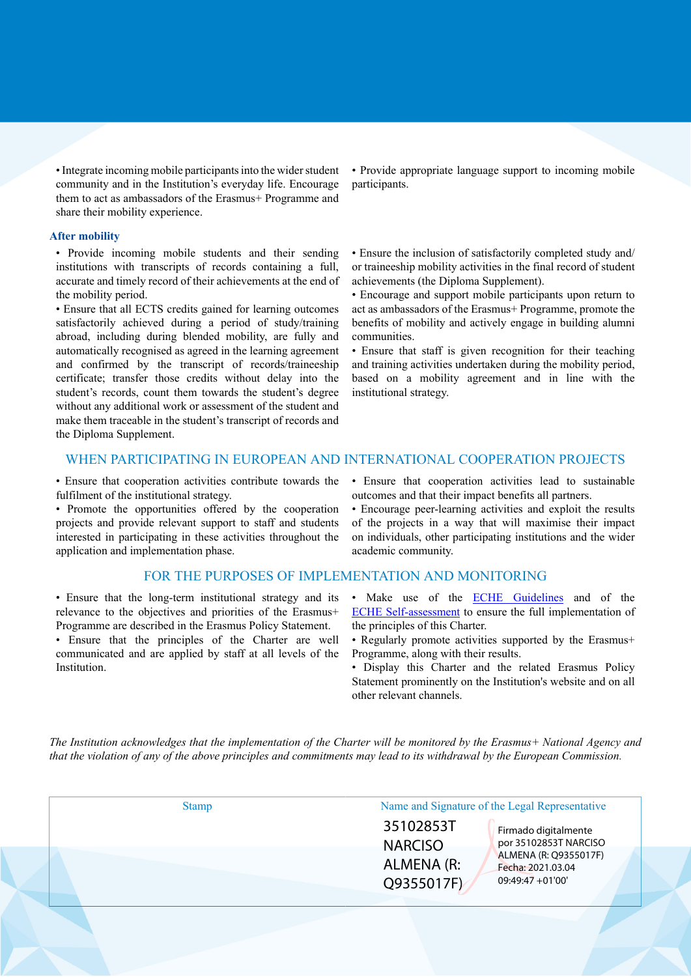• Integrate incoming mobile participants into the wider student community and in the Institution's everyday life. Encourage them to act as ambassadors of the Erasmus+ Programme and share their mobility experience.

#### **After mobility**

• Provide incoming mobile students and their sending institutions with transcripts of records containing a full, accurate and timely record of their achievements at the end of the mobility period.

• Ensure that all ECTS credits gained for learning outcomes satisfactorily achieved during a period of study/training abroad, including during blended mobility, are fully and automatically recognised as agreed in the learning agreement and confirmed by the transcript of records/traineeship certificate; transfer those credits without delay into the student's records, count them towards the student's degree without any additional work or assessment of the student and make them traceable in the student's transcript of records and the Diploma Supplement.

• Provide appropriate language support to incoming mobile participants.

• Ensure the inclusion of satisfactorily completed study and/ or traineeship mobility activities in the final record of student achievements (the Diploma Supplement).

• Encourage and support mobile participants upon return to act as ambassadors of the Erasmus+ Programme, promote the benefits of mobility and actively engage in building alumni communities.

• Ensure that staff is given recognition for their teaching and training activities undertaken during the mobility period, based on a mobility agreement and in line with the institutional strategy.

### WHEN PARTICIPATING IN EUROPEAN AND INTERNATIONAL COOPERATION PROJECTS

• Ensure that cooperation activities contribute towards the fulfilment of the institutional strategy.

• Promote the opportunities offered by the cooperation projects and provide relevant support to staff and students interested in participating in these activities throughout the application and implementation phase.

#### FOR THE PURPOSES OF IMPLEMENTATION AND MONITORING

• Ensure that the long-term institutional strategy and its relevance to the objectives and priorities of the Erasmus+ Programme are described in the Erasmus Policy Statement.

• Ensure that the principles of the Charter are well communicated and are applied by staff at all levels of the Institution.

• Ensure that cooperation activities lead to sustainable outcomes and that their impact benefits all partners.

• Encourage peer-learning activities and exploit the results of the projects in a way that will maximise their impact on individuals, other participating institutions and the wider academic community.

- Make use of the **ECHE Guidelines** and of the [ECHE Self-assessment](https://ec.europa.eu/programmes/erasmus-plus/eche/start_en) to ensure the full implementation of the principles of this Charter.
- Regularly promote activities supported by the Erasmus+ Programme, along with their results.
- Display this Charter and the related Erasmus Policy Statement prominently on the Institution's website and on all other relevant channels.

The Institution acknowledges that the implementation of the Charter will be monitored by the Erasmus+ National Agency and that the violation of any of the above principles and commitments may lead to its withdrawal by the European Commission.

| <b>Stamp</b> | Name and Signature of the Legal Representative                       |                                               |
|--------------|----------------------------------------------------------------------|-----------------------------------------------|
|              | 35102853T<br><b>NARCISO</b>                                          | Firmado digitalmente<br>por 35102853T NARCISO |
|              | ALMENA (R:<br>Fecha: 2021.03.04<br>$09:49:47 + 01'00'$<br>Q9355017F) | ALMENA (R: Q9355017F)                         |
|              |                                                                      |                                               |